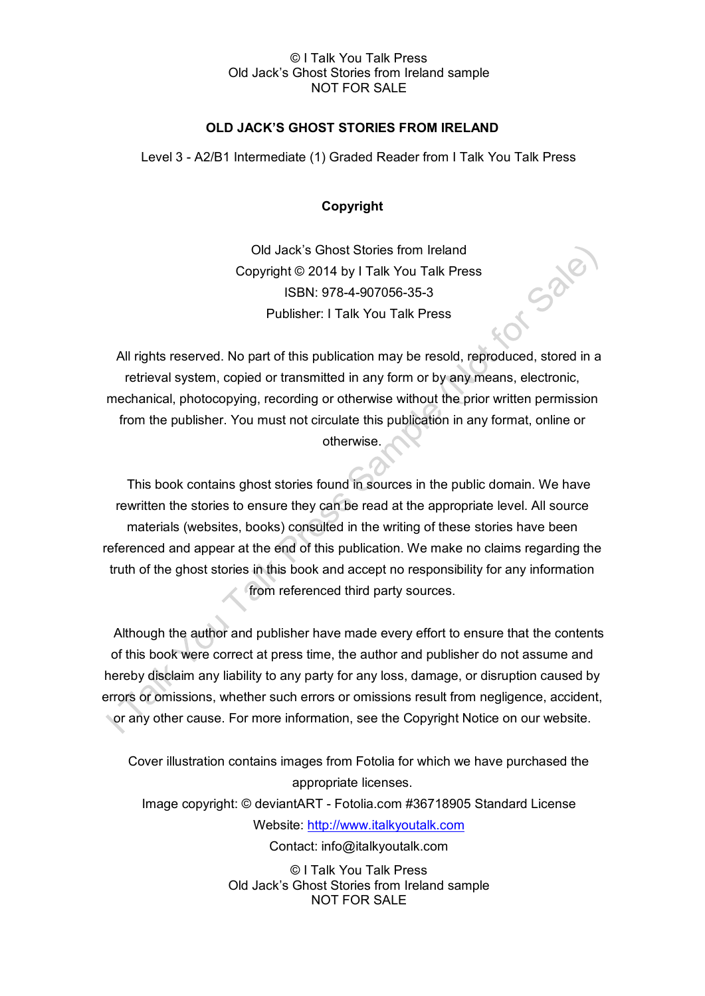### © I Talk You Talk Press Old Jack's Ghost Stories from Ireland sample NOT FOR SALE

## **OLD JACK'S GHOST STORIES FROM IRELAND**

Level 3 - A2/B1 Intermediate (1) Graded Reader from I Talk You Talk Press

## **Copyright**

Old Jack's Ghost Stories from Ireland Copyright © 2014 by I Talk You Talk Press ISBN: 978-4-907056-35-3 Publisher: I Talk You Talk Press

Or Sale

All rights reserved. No part of this publication may be resold, reproduced, stored in a retrieval system, copied or transmitted in any form or by any means, electronic, mechanical, photocopying, recording or otherwise without the prior written permission from the publisher. You must not circulate this publication in any format, online or otherwise.

This book contains ghost stories found in sources in the public domain. We have rewritten the stories to ensure they can be read at the appropriate level. All source materials (websites, books) consulted in the writing of these stories have been referenced and appear at the end of this publication. We make no claims regarding the truth of the ghost stories in this book and accept no responsibility for any information from referenced third party sources.

Although the author and publisher have made every effort to ensure that the contents of this book were correct at press time, the author and publisher do not assume and hereby disclaim any liability to any party for any loss, damage, or disruption caused by errors or omissions, whether such errors or omissions result from negligence, accident, or any other cause. For more information, see the Copyright Notice on our website.

Cover illustration contains images from Fotolia for which we have purchased the appropriate licenses. Image copyright: © deviantART - Fotolia.com #36718905 Standard License Website: [http://www.italkyoutalk.com](http://www.italkyoutalk.com/) Contact: info@italkyoutalk.com

> © I Talk You Talk Press Old Jack's Ghost Stories from Ireland sample NOT FOR SALE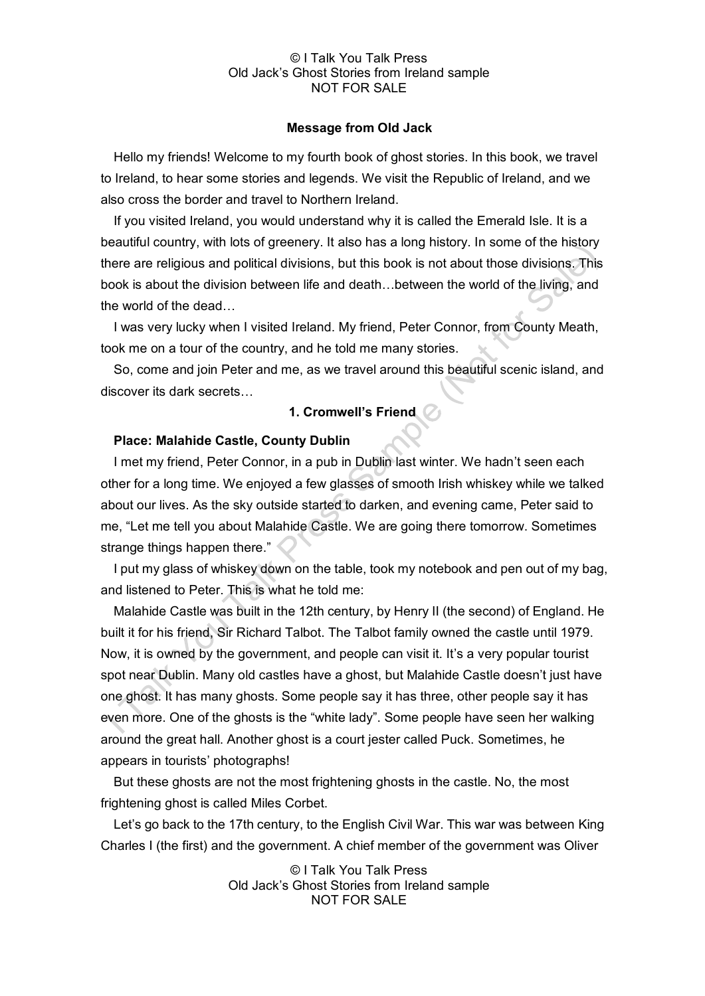#### © I Talk You Talk Press Old Jack's Ghost Stories from Ireland sample NOT FOR SALE

#### **Message from Old Jack**

Hello my friends! Welcome to my fourth book of ghost stories. In this book, we travel to Ireland, to hear some stories and legends. We visit the Republic of Ireland, and we also cross the border and travel to Northern Ireland.

If you visited Ireland, you would understand why it is called the Emerald Isle. It is a beautiful country, with lots of greenery. It also has a long history. In some of the history there are religious and political divisions, but this book is not about those divisions. This book is about the division between life and death…between the world of the living, and the world of the dead…

I was very lucky when I visited Ireland. My friend, Peter Connor, from County Meath, took me on a tour of the country, and he told me many stories.

So, come and join Peter and me, as we travel around this beautiful scenic island, and discover its dark secrets…

# **1. Cromwell's Friend**

### **Place: Malahide Castle, County Dublin**

I met my friend, Peter Connor, in a pub in Dublin last winter. We hadn't seen each other for a long time. We enjoyed a few glasses of smooth Irish whiskey while we talked about our lives. As the sky outside started to darken, and evening came, Peter said to me, "Let me tell you about Malahide Castle. We are going there tomorrow. Sometimes strange things happen there."

I put my glass of whiskey down on the table, took my notebook and pen out of my bag, and listened to Peter. This is what he told me:

Malahide Castle was built in the 12th century, by Henry II (the second) of England. He built it for his friend, Sir Richard Talbot. The Talbot family owned the castle until 1979. Now, it is owned by the government, and people can visit it. It's a very popular tourist spot near Dublin. Many old castles have a ghost, but Malahide Castle doesn't just have one ghost. It has many ghosts. Some people say it has three, other people say it has even more. One of the ghosts is the "white lady". Some people have seen her walking around the great hall. Another ghost is a court jester called Puck. Sometimes, he appears in tourists' photographs!

But these ghosts are not the most frightening ghosts in the castle. No, the most frightening ghost is called Miles Corbet.

Let's go back to the 17th century, to the English Civil War. This war was between King Charles I (the first) and the government. A chief member of the government was Oliver

> © I Talk You Talk Press Old Jack's Ghost Stories from Ireland sample NOT FOR SALE